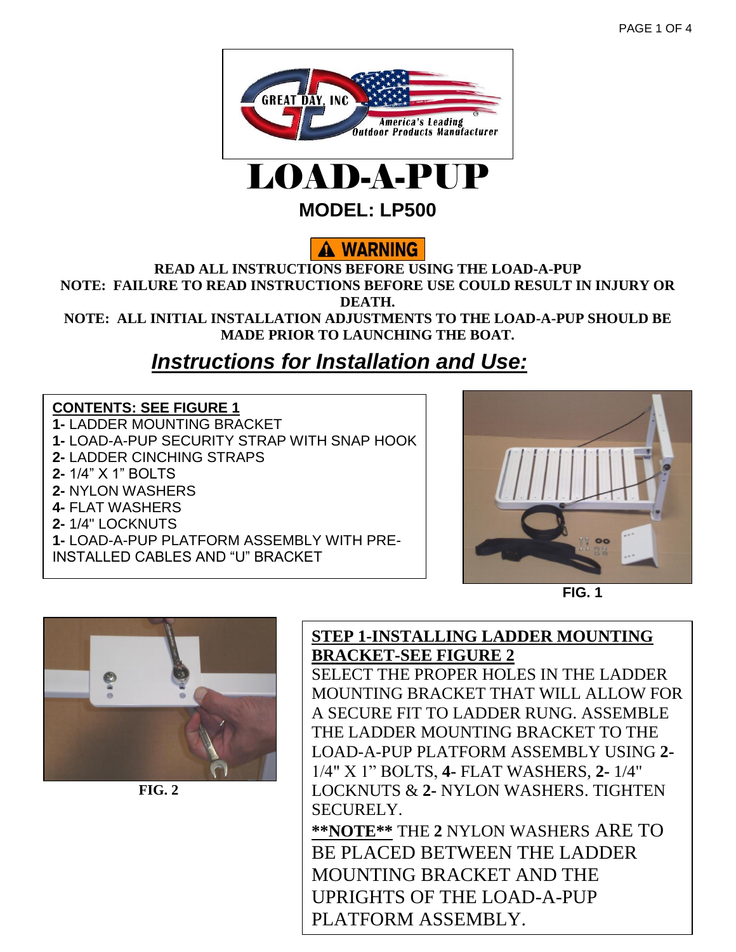



**MODEL: LP500**

# A WARNING

**READ ALL INSTRUCTIONS BEFORE USING THE LOAD-A-PUP NOTE: FAILURE TO READ INSTRUCTIONS BEFORE USE COULD RESULT IN INJURY OR DEATH.** 

**NOTE: ALL INITIAL INSTALLATION ADJUSTMENTS TO THE LOAD-A-PUP SHOULD BE MADE PRIOR TO LAUNCHING THE BOAT.** 

# *Instructions for Installation and Use:*

#### **CONTENTS: SEE FIGURE 1**

**1-** LADDER MOUNTING BRACKET **1-** LOAD-A-PUP SECURITY STRAP WITH SNAP HOOK **2-** LADDER CINCHING STRAPS **2-** 1/4" X 1" BOLTS **2-** NYLON WASHERS **4-** FLAT WASHERS **2-** 1/4" LOCKNUTS **1-** LOAD-A-PUP PLATFORM ASSEMBLY WITH PRE-INSTALLED CABLES AND "U" BRACKET



**FIG. 1**



 **FIG. 2**

## **STEP 1-INSTALLING LADDER MOUNTING BRACKET-SEE FIGURE 2**

SELECT THE PROPER HOLES IN THE LADDER MOUNTING BRACKET THAT WILL ALLOW FOR A SECURE FIT TO LADDER RUNG. ASSEMBLE THE LADDER MOUNTING BRACKET TO THE LOAD-A-PUP PLATFORM ASSEMBLY USING **2-** 1/4" X 1" BOLTS, **4-** FLAT WASHERS, **2-** 1/4" LOCKNUTS & **2-** NYLON WASHERS. TIGHTEN SECURELY.

**\*\*NOTE\*\*** THE **2** NYLON WASHERS ARE TO BE PLACED BETWEEN THE LADDER MOUNTING BRACKET AND THE UPRIGHTS OF THE LOAD-A-PUP PLATFORM ASSEMBLY.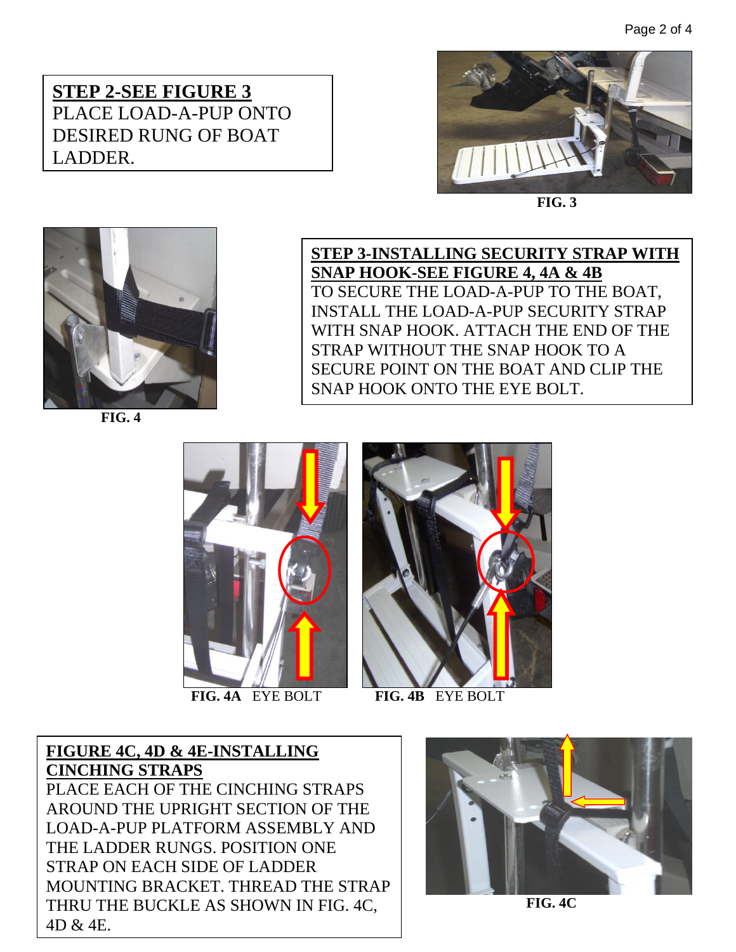Page 2 of 4

## **STEP 2-SEE FIGURE 3** PLACE LOAD-A-PUP ONTO DESIRED RUNG OF BOAT LADDER.



 **FIG. 3**



 **FIG. 4**

**STEP 3-INSTALLING SECURITY STRAP WITH SNAP HOOK-SEE FIGURE 4, 4A & 4B** TO SECURE THE LOAD-A-PUP TO THE BOAT, INSTALL THE LOAD-A-PUP SECURITY STRAP WITH SNAP HOOK. ATTACH THE END OF THE STRAP WITHOUT THE SNAP HOOK TO A SECURE POINT ON THE BOAT AND CLIP THE SNAP HOOK ONTO THE EYE BOLT.



 **FIG. 4A** EYE BOLT **FIG. 4B** EYE BOLT



**FIGURE 4C, 4D & 4E-INSTALLING CINCHING STRAPS** PLACE EACH OF THE CINCHING STRAPS AROUND THE UPRIGHT SECTION OF THE LOAD-A-PUP PLATFORM ASSEMBLY AND THE LADDER RUNGS. POSITION ONE STRAP ON EACH SIDE OF LADDER MOUNTING BRACKET. THREAD THE STRAP THRU THE BUCKLE AS SHOWN IN FIG. 4C, 4D & 4E.



**FIG. 4C**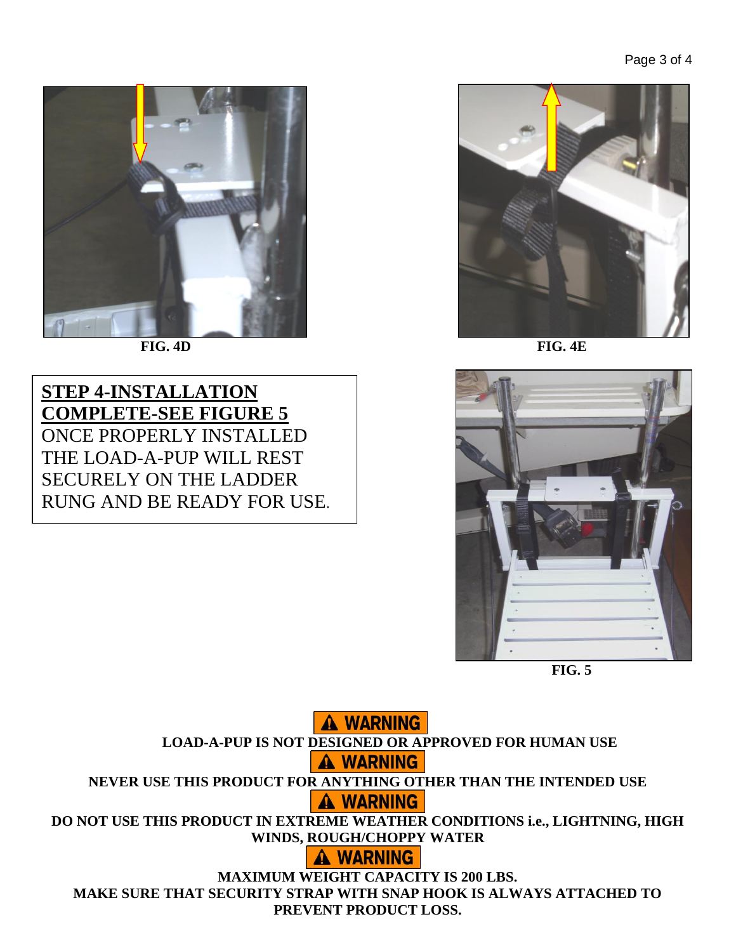

**STEP 4-INSTALLATION COMPLETE-SEE FIGURE 5** ONCE PROPERLY INSTALLED THE LOAD-A-PUP WILL REST SECURELY ON THE LADDER RUNG AND BE READY FOR USE.





**FIG. 5**

**A WARNING LOAD-A-PUP IS NOT DESIGNED OR APPROVED FOR HUMAN USE A WARNING NEVER USE THIS PRODUCT FOR ANYTHING OTHER THAN THE INTENDED USE A WARNING DO NOT USE THIS PRODUCT IN EXTREME WEATHER CONDITIONS i.e., LIGHTNING, HIGH WINDS, ROUGH/CHOPPY WATER A WARNING MAXIMUM WEIGHT CAPACITY IS 200 LBS. MAKE SURE THAT SECURITY STRAP WITH SNAP HOOK IS ALWAYS ATTACHED TO PREVENT PRODUCT LOSS.**